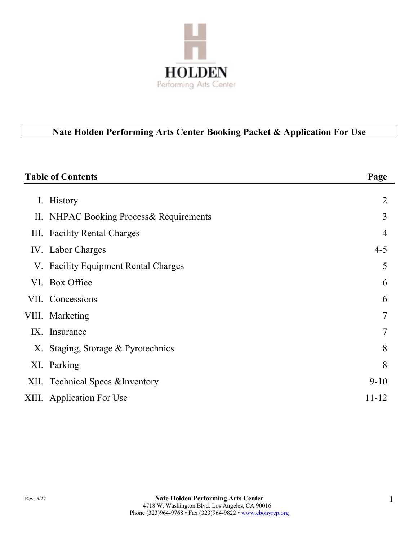

# **Nate Holden Performing Arts Center Booking Packet & Application For Use**

| $\overline{2}$<br>3<br>4<br>$4 - 5$ |
|-------------------------------------|
|                                     |
|                                     |
|                                     |
|                                     |
| 5                                   |
| 6                                   |
| 6                                   |
| $\overline{7}$                      |
| 7                                   |
| 8                                   |
| 8                                   |
| $9-10$                              |
| 11-12                               |
|                                     |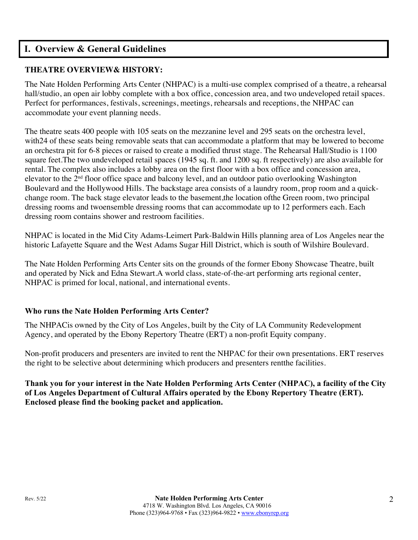## **I. Overview & General Guidelines**

## **THEATRE OVERVIEW& HISTORY:**

The Nate Holden Performing Arts Center (NHPAC) is a multi-use complex comprised of a theatre, a rehearsal hall/studio, an open air lobby complete with a box office, concession area, and two undeveloped retail spaces. Perfect for performances, festivals, screenings, meetings, rehearsals and receptions, the NHPAC can accommodate your event planning needs.

The theatre seats 400 people with 105 seats on the mezzanine level and 295 seats on the orchestra level, with24 of these seats being removable seats that can accommodate a platform that may be lowered to become an orchestra pit for 6-8 pieces or raised to create a modified thrust stage. The Rehearsal Hall/Studio is 1100 square feet.The two undeveloped retail spaces (1945 sq. ft. and 1200 sq. ft respectively) are also available for rental. The complex also includes a lobby area on the first floor with a box office and concession area, elevator to the  $2<sup>nd</sup>$  floor office space and balcony level, and an outdoor patio overlooking Washington Boulevard and the Hollywood Hills. The backstage area consists of a laundry room, prop room and a quickchange room. The back stage elevator leads to the basement,the location ofthe Green room, two principal dressing rooms and twoensemble dressing rooms that can accommodate up to 12 performers each. Each dressing room contains shower and restroom facilities.

NHPAC is located in the Mid City Adams-Leimert Park-Baldwin Hills planning area of Los Angeles near the historic Lafayette Square and the West Adams Sugar Hill District, which is south of Wilshire Boulevard.

The Nate Holden Performing Arts Center sits on the grounds of the former Ebony Showcase Theatre, built and operated by Nick and Edna Stewart.A world class, state-of-the-art performing arts regional center, NHPAC is primed for local, national, and international events.

## **Who runs the Nate Holden Performing Arts Center?**

The NHPACis owned by the City of Los Angeles, built by the City of LA Community Redevelopment Agency, and operated by the Ebony Repertory Theatre (ERT) a non-profit Equity company.

Non-profit producers and presenters are invited to rent the NHPAC for their own presentations. ERT reserves the right to be selective about determining which producers and presenters rentthe facilities.

**Thank you for your interest in the Nate Holden Performing Arts Center (NHPAC), a facility of the City of Los Angeles Department of Cultural Affairs operated by the Ebony Repertory Theatre (ERT). Enclosed please find the booking packet and application.**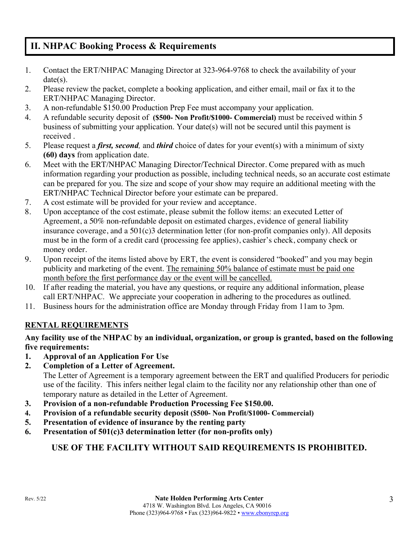# **II. NHPAC Booking Process & Requirements**

- 1. Contact the ERT/NHPAC Managing Director at 323-964-9768 to check the availability of your date(s).
- 2. Please review the packet, complete a booking application, and either email, mail or fax it to the ERT/NHPAC Managing Director.
- 3. A non-refundable \$150.00 Production Prep Fee must accompany your application.
- 4. A refundable security deposit of **(\$500- Non Profit/\$1000- Commercial)** must be received within 5 business of submitting your application. Your date(s) will not be secured until this payment is received .
- 5. Please request a *first, second,* and *third* choice of dates for your event(s) with a minimum of sixty **(60) days** from application date.
- 6. Meet with the ERT/NHPAC Managing Director/Technical Director. Come prepared with as much information regarding your production as possible, including technical needs, so an accurate cost estimate can be prepared for you. The size and scope of your show may require an additional meeting with the ERT/NHPAC Technical Director before your estimate can be prepared.
- 7. A cost estimate will be provided for your review and acceptance.
- 8. Upon acceptance of the cost estimate, please submit the follow items: an executed Letter of Agreement, a 50% non-refundable deposit on estimated charges, evidence of general liability insurance coverage, and a 501(c)3 determination letter (for non-profit companies only). All deposits must be in the form of a credit card (processing fee applies), cashier's check, company check or money order.
- 9. Upon receipt of the items listed above by ERT, the event is considered "booked" and you may begin publicity and marketing of the event. The remaining 50% balance of estimate must be paid one month before the first performance day or the event will be cancelled.
- 10. If after reading the material, you have any questions, or require any additional information, please call ERT/NHPAC. We appreciate your cooperation in adhering to the procedures as outlined.
- 11. Business hours for the administration office are Monday through Friday from 11am to 3pm.

## **RENTAL REQUIREMENTS**

## **Any facility use of the NHPAC by an individual, organization, or group is granted, based on the following five requirements:**

- **1. Approval of an Application For Use**
- **2. Completion of a Letter of Agreement.**

The Letter of Agreement is a temporary agreement between the ERT and qualified Producers for periodic use of the facility. This infers neither legal claim to the facility nor any relationship other than one of temporary nature as detailed in the Letter of Agreement.

- **3. Provision of a non-refundable Production Processing Fee \$150.00.**
- **4. Provision of a refundable security deposit (\$500- Non Profit/\$1000- Commercial)**
- **5. Presentation of evidence of insurance by the renting party**
- **6. Presentation of 501(c)3 determination letter (for non-profits only)**

## **USE OF THE FACILITY WITHOUT SAID REQUIREMENTS IS PROHIBITED.**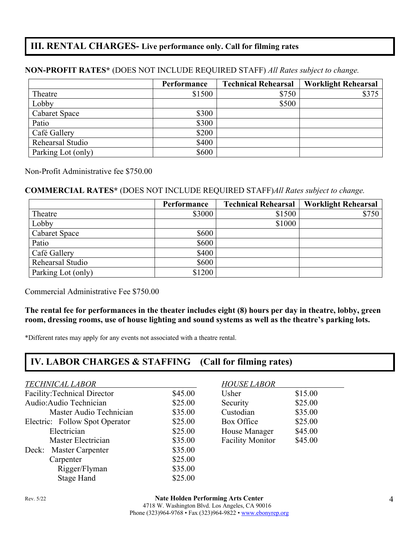# **III. RENTAL CHARGES- Live performance only. Call for filming rates**

## **Performance Technical Rehearsal Worklight Rehearsal** Theatre \$1500 \$375  $\qquad \qquad \text{Lobby}$   $\qquad \qquad \text{5500}$ Cabaret Space \$300 Patio  $\$300$ Café Gallery  $$200$ Rehearsal Studio  $\qquad \qquad$  \$400 Parking Lot (only) \$600

## **NON-PROFIT RATES\*** (DOES NOT INCLUDE REQUIRED STAFF) *All Rates subject to change.*

Non-Profit Administrative fee \$750.00

#### **COMMERCIAL RATES\*** (DOES NOT INCLUDE REQUIRED STAFF)*All Rates subject to change.*

|                      | Performance | <b>Technical Rehearsal</b> | <b>Worklight Rehearsal</b> |
|----------------------|-------------|----------------------------|----------------------------|
| Theatre              | \$3000      | \$1500                     | \$750                      |
| Lobby                |             | \$1000                     |                            |
| <b>Cabaret Space</b> | \$600       |                            |                            |
| Patio                | \$600       |                            |                            |
| Café Gallery         | \$400       |                            |                            |
| Rehearsal Studio     | \$600       |                            |                            |
| Parking Lot (only)   | \$1200      |                            |                            |

Commercial Administrative Fee \$750.00

#### **The rental fee for performances in the theater includes eight (8) hours per day in theatre, lobby, green room, dressing rooms, use of house lighting and sound systems as well as the theatre's parking lots.**

\*Different rates may apply for any events not associated with a theatre rental.

# **IV. LABOR CHARGES & STAFFING (Call for filming rates)**

#### *TECHNICAL LABOR HOUSE LABOR*

| <b>Facility: Technical Director</b> | \$45.00 | Usher                   | \$15.00 |
|-------------------------------------|---------|-------------------------|---------|
| Audio: Audio Technician             | \$25.00 | Security                | \$25.00 |
| Master Audio Technician             | \$35.00 | Custodian               | \$35.00 |
| Electric: Follow Spot Operator      | \$25.00 | Box Office              | \$25.00 |
| Electrician                         | \$25.00 | House Manager           | \$45.00 |
| Master Electrician                  | \$35.00 | <b>Facility Monitor</b> | \$45.00 |
| Deck: Master Carpenter              | \$35.00 |                         |         |
| Carpenter                           | \$25.00 |                         |         |
| Rigger/Flyman                       | \$35.00 |                         |         |
| Stage Hand                          | \$25.00 |                         |         |

| Usher                   | \$15.00 |
|-------------------------|---------|
| Security                | \$25.00 |
| Custodian               | \$35.00 |
| Box Office              | \$25.00 |
| House Manager           | \$45.00 |
| <b>Facility Monitor</b> | \$45.00 |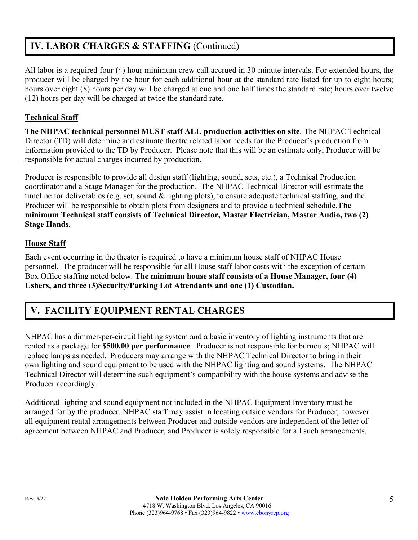# **IV. LABOR CHARGES & STAFFING** (Continued)

All labor is a required four (4) hour minimum crew call accrued in 30-minute intervals. For extended hours, the producer will be charged by the hour for each additional hour at the standard rate listed for up to eight hours; hours over eight (8) hours per day will be charged at one and one half times the standard rate; hours over twelve (12) hours per day will be charged at twice the standard rate.

## **Technical Staff**

**The NHPAC technical personnel MUST staff ALL production activities on site**. The NHPAC Technical Director (TD) will determine and estimate theatre related labor needs for the Producer's production from information provided to the TD by Producer. Please note that this will be an estimate only; Producer will be responsible for actual charges incurred by production.

Producer is responsible to provide all design staff (lighting, sound, sets, etc.), a Technical Production coordinator and a Stage Manager for the production. The NHPAC Technical Director will estimate the timeline for deliverables (e.g. set, sound & lighting plots), to ensure adequate technical staffing, and the Producer will be responsible to obtain plots from designers and to provide a technical schedule.**The minimum Technical staff consists of Technical Director, Master Electrician, Master Audio, two (2) Stage Hands.**

## **House Staff**

Each event occurring in the theater is required to have a minimum house staff of NHPAC House personnel. The producer will be responsible for all House staff labor costs with the exception of certain Box Office staffing noted below. **The minimum house staff consists of a House Manager, four (4) Ushers, and three (3)Security/Parking Lot Attendants and one (1) Custodian.**

# **V. FACILITY EQUIPMENT RENTAL CHARGES**

NHPAC has a dimmer-per-circuit lighting system and a basic inventory of lighting instruments that are rented as a package for **\$500.00 per performance**. Producer is not responsible for burnouts; NHPAC will replace lamps as needed. Producers may arrange with the NHPAC Technical Director to bring in their own lighting and sound equipment to be used with the NHPAC lighting and sound systems. The NHPAC Technical Director will determine such equipment's compatibility with the house systems and advise the Producer accordingly.

Additional lighting and sound equipment not included in the NHPAC Equipment Inventory must be arranged for by the producer. NHPAC staff may assist in locating outside vendors for Producer; however all equipment rental arrangements between Producer and outside vendors are independent of the letter of agreement between NHPAC and Producer, and Producer is solely responsible for all such arrangements.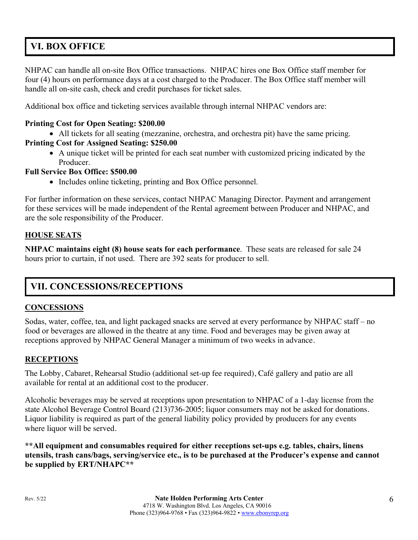# **VI. BOX OFFICE**

NHPAC can handle all on-site Box Office transactions. NHPAC hires one Box Office staff member for four (4) hours on performance days at a cost charged to the Producer. The Box Office staff member will handle all on-site cash, check and credit purchases for ticket sales.

Additional box office and ticketing services available through internal NHPAC vendors are:

## **Printing Cost for Open Seating: \$200.00**

• All tickets for all seating (mezzanine, orchestra, and orchestra pit) have the same pricing. **Printing Cost for Assigned Seating: \$250.00**

• A unique ticket will be printed for each seat number with customized pricing indicated by the Producer.

## **Full Service Box Office: \$500.00**

• Includes online ticketing, printing and Box Office personnel.

For further information on these services, contact NHPAC Managing Director. Payment and arrangement for these services will be made independent of the Rental agreement between Producer and NHPAC, and are the sole responsibility of the Producer.

## **HOUSE SEATS**

**NHPAC maintains eight (8) house seats for each performance**. These seats are released for sale 24 hours prior to curtain, if not used. There are 392 seats for producer to sell.

# **VII. CONCESSIONS/RECEPTIONS**

## **CONCESSIONS**

Sodas, water, coffee, tea, and light packaged snacks are served at every performance by NHPAC staff – no food or beverages are allowed in the theatre at any time. Food and beverages may be given away at receptions approved by NHPAC General Manager a minimum of two weeks in advance.

## **RECEPTIONS**

The Lobby, Cabaret, Rehearsal Studio (additional set-up fee required), Café gallery and patio are all available for rental at an additional cost to the producer.

Alcoholic beverages may be served at receptions upon presentation to NHPAC of a 1-day license from the state Alcohol Beverage Control Board (213)736-2005; liquor consumers may not be asked for donations. Liquor liability is required as part of the general liability policy provided by producers for any events where liquor will be served.

**\*\*All equipment and consumables required for either receptions set-ups e.g. tables, chairs, linens utensils, trash cans/bags, serving/service etc., is to be purchased at the Producer's expense and cannot be supplied by ERT/NHAPC\*\***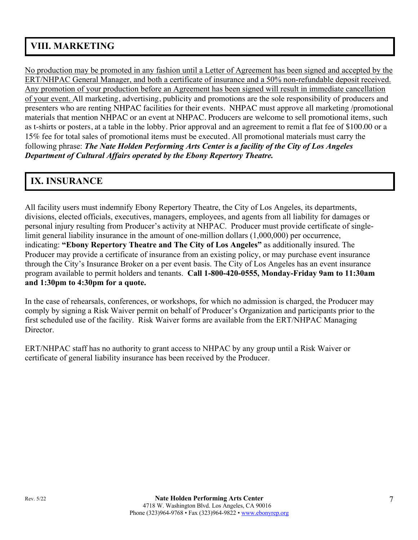# **VIII. MARKETING**

No production may be promoted in any fashion until a Letter of Agreement has been signed and accepted by the ERT/NHPAC General Manager, and both a certificate of insurance and a 50% non-refundable deposit received. Any promotion of your production before an Agreement has been signed will result in immediate cancellation of your event. All marketing, advertising, publicity and promotions are the sole responsibility of producers and presenters who are renting NHPAC facilities for their events. NHPAC must approve all marketing /promotional materials that mention NHPAC or an event at NHPAC. Producers are welcome to sell promotional items, such as t-shirts or posters, at a table in the lobby. Prior approval and an agreement to remit a flat fee of \$100.00 or a 15% fee for total sales of promotional items must be executed. All promotional materials must carry the following phrase: *The Nate Holden Performing Arts Center is a facility of the City of Los Angeles Department of Cultural Affairs operated by the Ebony Repertory Theatre.*

# **IX. INSURANCE**

All facility users must indemnify Ebony Repertory Theatre, the City of Los Angeles, its departments, divisions, elected officials, executives, managers, employees, and agents from all liability for damages or personal injury resulting from Producer's activity at NHPAC. Producer must provide certificate of singlelimit general liability insurance in the amount of one-million dollars (1,000,000) per occurrence, indicating: **"Ebony Repertory Theatre and The City of Los Angeles"** as additionally insured. The Producer may provide a certificate of insurance from an existing policy, or may purchase event insurance through the City's Insurance Broker on a per event basis. The City of Los Angeles has an event insurance program available to permit holders and tenants. **Call 1-800-420-0555, Monday-Friday 9am to 11:30am and 1:30pm to 4:30pm for a quote.**

In the case of rehearsals, conferences, or workshops, for which no admission is charged, the Producer may comply by signing a Risk Waiver permit on behalf of Producer's Organization and participants prior to the first scheduled use of the facility. Risk Waiver forms are available from the ERT/NHPAC Managing Director.

ERT/NHPAC staff has no authority to grant access to NHPAC by any group until a Risk Waiver or certificate of general liability insurance has been received by the Producer.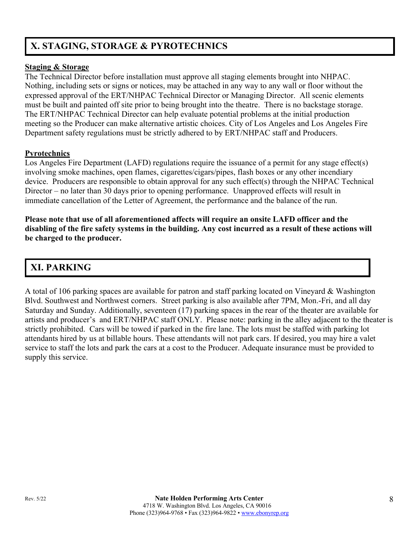# **X. STAGING, STORAGE & PYROTECHNICS**

## **Staging & Storage**

The Technical Director before installation must approve all staging elements brought into NHPAC. Nothing, including sets or signs or notices, may be attached in any way to any wall or floor without the expressed approval of the ERT/NHPAC Technical Director or Managing Director. All scenic elements must be built and painted off site prior to being brought into the theatre. There is no backstage storage. The ERT/NHPAC Technical Director can help evaluate potential problems at the initial production meeting so the Producer can make alternative artistic choices. City of Los Angeles and Los Angeles Fire Department safety regulations must be strictly adhered to by ERT/NHPAC staff and Producers.

## **Pyrotechnics**

Los Angeles Fire Department (LAFD) regulations require the issuance of a permit for any stage effect(s) involving smoke machines, open flames, cigarettes/cigars/pipes, flash boxes or any other incendiary device. Producers are responsible to obtain approval for any such effect(s) through the NHPAC Technical Director – no later than 30 days prior to opening performance. Unapproved effects will result in immediate cancellation of the Letter of Agreement, the performance and the balance of the run.

**Please note that use of all aforementioned affects will require an onsite LAFD officer and the disabling of the fire safety systems in the building. Any cost incurred as a result of these actions will be charged to the producer.** 

# **XI. PARKING**

A total of 106 parking spaces are available for patron and staff parking located on Vineyard & Washington Blvd. Southwest and Northwest corners. Street parking is also available after 7PM, Mon.-Fri, and all day Saturday and Sunday. Additionally, seventeen (17) parking spaces in the rear of the theater are available for artists and producer's and ERT/NHPAC staff ONLY. Please note: parking in the alley adjacent to the theater is strictly prohibited. Cars will be towed if parked in the fire lane. The lots must be staffed with parking lot attendants hired by us at billable hours. These attendants will not park cars. If desired, you may hire a valet service to staff the lots and park the cars at a cost to the Producer. Adequate insurance must be provided to supply this service.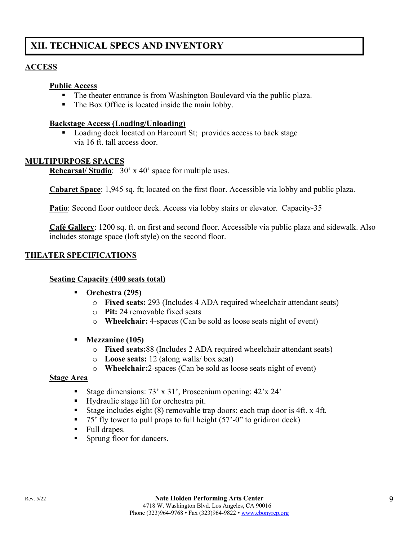# **XII. TECHNICAL SPECS AND INVENTORY**

## **ACCESS**

#### **Public Access**

- The theater entrance is from Washington Boulevard via the public plaza.
- The Box Office is located inside the main lobby.

#### **Backstage Access (Loading/Unloading)**

■ Loading dock located on Harcourt St; provides access to back stage via 16 ft. tall access door.

#### **MULTIPURPOSE SPACES**

**Rehearsal/ Studio**: 30' x 40' space for multiple uses.

**Cabaret Space**: 1,945 sq. ft; located on the first floor. Accessible via lobby and public plaza.

Patio: Second floor outdoor deck. Access via lobby stairs or elevator. Capacity-35

**Café Gallery**: 1200 sq. ft. on first and second floor. Accessible via public plaza and sidewalk. Also includes storage space (loft style) on the second floor.

## **THEATER SPECIFICATIONS**

#### **Seating Capacity (400 seats total)**

- § **Orchestra (295)**
	- o **Fixed seats:** 293 (Includes 4 ADA required wheelchair attendant seats)
	- o **Pit:** 24 removable fixed seats
	- o **Wheelchair:** 4-spaces (Can be sold as loose seats night of event)
- § **Mezzanine (105)**
	- o **Fixed seats:**88 (Includes 2 ADA required wheelchair attendant seats)
	- o **Loose seats:** 12 (along walls/ box seat)
	- o **Wheelchair:**2-spaces (Can be sold as loose seats night of event)

#### **Stage Area**

- Stage dimensions: 73' x 31', Proscenium opening: 42'x 24'
- Hydraulic stage lift for orchestra pit.
- Stage includes eight (8) removable trap doors; each trap door is 4ft. x 4ft.
- 75' fly tower to pull props to full height (57'-0" to gridiron deck)
- Full drapes.
- Sprung floor for dancers.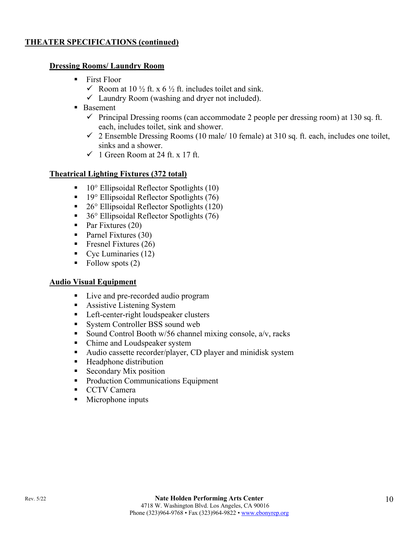## **THEATER SPECIFICATIONS (continued)**

#### **Dressing Rooms/ Laundry Room**

- First Floor
	- $\checkmark$  Room at 10 ½ ft. x 6 ½ ft. includes toilet and sink.
	- $\checkmark$  Laundry Room (washing and dryer not included).
- Basement
	- $\checkmark$  Principal Dressing rooms (can accommodate 2 people per dressing room) at 130 sq. ft. each, includes toilet, sink and shower.
	- $\checkmark$  2 Ensemble Dressing Rooms (10 male/ 10 female) at 310 sq. ft. each, includes one toilet, sinks and a shower.
	- $\checkmark$  1 Green Room at 24 ft. x 17 ft.

## **Theatrical Lighting Fixtures (372 total)**

- $\blacksquare$  10° Ellipsoidal Reflector Spotlights (10)
- 19° Ellipsoidal Reflector Spotlights (76)
- 26° Ellipsoidal Reflector Spotlights (120)
- 36° Ellipsoidal Reflector Spotlights (76)
- Par Fixtures (20)
- Parnel Fixtures (30)
- Fresnel Fixtures  $(26)$
- Cyc Luminaries (12)
- Follow spots  $(2)$

#### **Audio Visual Equipment**

- Live and pre-recorded audio program
- Assistive Listening System
- Left-center-right loudspeaker clusters
- System Controller BSS sound web
- Sound Control Booth  $w/56$  channel mixing console,  $a/v$ , racks
- Chime and Loudspeaker system
- Audio cassette recorder/player, CD player and minidisk system
- Headphone distribution
- Secondary Mix position
- Production Communications Equipment
- CCTV Camera
- Microphone inputs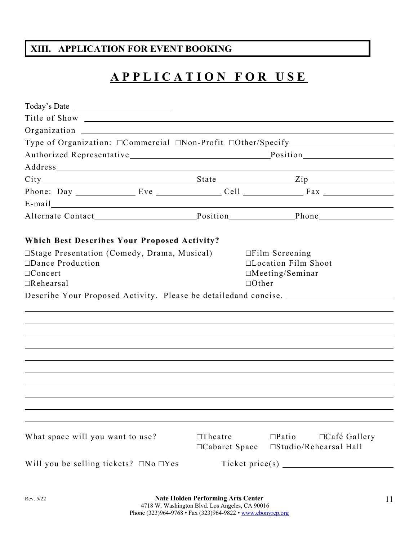# **XIII. APPLICATION FOR EVENT BOOKING**

# **APPLICATION FOR USE**

| Type of Organization: □Commercial □Non-Profit □Other/Specify ___________________                                                                                                                                               |                                  |                                                                               |                     |
|--------------------------------------------------------------------------------------------------------------------------------------------------------------------------------------------------------------------------------|----------------------------------|-------------------------------------------------------------------------------|---------------------|
| Authorized Representative Position                                                                                                                                                                                             |                                  |                                                                               |                     |
|                                                                                                                                                                                                                                |                                  |                                                                               |                     |
| City State Zip                                                                                                                                                                                                                 |                                  |                                                                               |                     |
|                                                                                                                                                                                                                                |                                  |                                                                               |                     |
| E-mail expression of the contract of the contract of the contract of the contract of the contract of the contract of the contract of the contract of the contract of the contract of the contract of the contract of the contr |                                  |                                                                               |                     |
|                                                                                                                                                                                                                                |                                  |                                                                               |                     |
| <b>Which Best Describes Your Proposed Activity?</b>                                                                                                                                                                            |                                  |                                                                               |                     |
| □Stage Presentation (Comedy, Drama, Musical)<br>$\Box$ Dance Production<br>$\Box$ Concert                                                                                                                                      |                                  | $\Box$ Film Screening<br>$\Box$ Location Film Shoot<br>$\Box$ Meeting/Seminar |                     |
| $\Box$ Rehearsal                                                                                                                                                                                                               |                                  | $\Box$ Other                                                                  |                     |
| Describe Your Proposed Activity. Please be detailedand concise.                                                                                                                                                                |                                  |                                                                               |                     |
|                                                                                                                                                                                                                                |                                  |                                                                               |                     |
|                                                                                                                                                                                                                                |                                  |                                                                               |                     |
|                                                                                                                                                                                                                                |                                  |                                                                               |                     |
|                                                                                                                                                                                                                                |                                  |                                                                               |                     |
|                                                                                                                                                                                                                                |                                  |                                                                               |                     |
|                                                                                                                                                                                                                                |                                  |                                                                               |                     |
|                                                                                                                                                                                                                                |                                  |                                                                               |                     |
|                                                                                                                                                                                                                                |                                  |                                                                               |                     |
|                                                                                                                                                                                                                                |                                  |                                                                               |                     |
|                                                                                                                                                                                                                                |                                  |                                                                               |                     |
| What space will you want to use?                                                                                                                                                                                               | $\Box$ Theatre<br>□Cabaret Space | $\square$ Patio<br>□Studio/Rehearsal Hall                                     | $\Box$ Café Gallery |
| Will you be selling tickets? $\Box$ No $\Box$ Yes                                                                                                                                                                              |                                  |                                                                               |                     |
|                                                                                                                                                                                                                                |                                  |                                                                               |                     |
|                                                                                                                                                                                                                                |                                  |                                                                               |                     |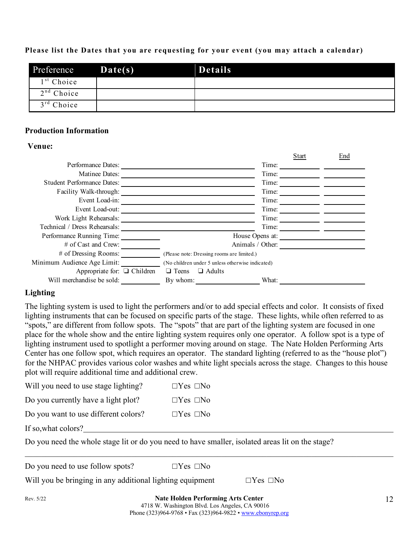#### **Please list the Dates that you are requesting for your event (you may attach a calendar)**

| Preference   | $\mathbf{Date(s)}$ | <b>Details</b> |
|--------------|--------------------|----------------|
| $1st$ Choice |                    |                |
| $2nd$ Choice |                    |                |
| $3rd$ Choice |                    |                |

#### **Production Information**

#### **Venue:**

|                                   |                                            |                                                  | Start | End |
|-----------------------------------|--------------------------------------------|--------------------------------------------------|-------|-----|
| Performance Dates:                |                                            | Time:                                            |       |     |
| Matinee Dates:                    |                                            | Time:                                            |       |     |
| <b>Student Performance Dates:</b> |                                            | Time:                                            |       |     |
| Facility Walk-through:            |                                            | Time:                                            |       |     |
| Event Load-in:                    |                                            | Time:                                            |       |     |
| Event Load-out:                   |                                            | Time:                                            |       |     |
| Work Light Rehearsals:            |                                            | Time:                                            |       |     |
| Technical / Dress Rehearsals:     |                                            | Time:                                            |       |     |
| Performance Running Time:         |                                            | House Opens at:                                  |       |     |
| $#$ of Cast and Crew:             |                                            | Animals / Other:                                 |       |     |
| $#$ of Dressing Rooms:            | (Please note: Dressing rooms are limited.) |                                                  |       |     |
| Minimum Audience Age Limit:       |                                            | (No children under 5 unless otherwise indicated) |       |     |
| Appropriate for: $\Box$ Children  | $\Box$ Teens<br>$\Box$ Adults              |                                                  |       |     |
| Will merchandise be sold:         | By whom:                                   | What:                                            |       |     |

## **Lighting**

The lighting system is used to light the performers and/or to add special effects and color. It consists of fixed lighting instruments that can be focused on specific parts of the stage. These lights, while often referred to as "spots," are different from follow spots. The "spots" that are part of the lighting system are focused in one place for the whole show and the entire lighting system requires only one operator. A follow spot is a type of lighting instrument used to spotlight a performer moving around on stage. The Nate Holden Performing Arts Center has one follow spot, which requires an operator. The standard lighting (referred to as the "house plot") for the NHPAC provides various color washes and white light specials across the stage. Changes to this house plot will require additional time and additional crew.

| Will you need to use stage lighting? | $\Box$ Yes $\Box$ No |
|--------------------------------------|----------------------|
| Do you currently have a light plot?  | $\Box$ Yes $\Box$ No |
| Do you want to use different colors? | $\Box$ Yes $\Box$ No |

If so,what colors?

Do you need the whole stage lit or do you need to have smaller, isolated areas lit on the stage?

Do you need to use follow spots?  $\square$  Yes  $\square$  No

Will you be bringing in any additional lighting equipment  $\square$  Yes  $\square$  No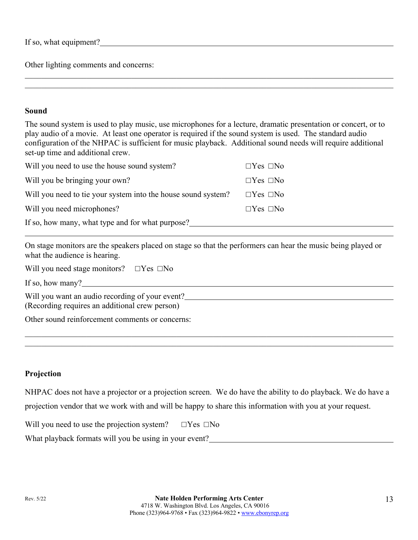If so, what equipment?

Other lighting comments and concerns:

#### **Sound**

The sound system is used to play music, use microphones for a lecture, dramatic presentation or concert, or to play audio of a movie. At least one operator is required if the sound system is used. The standard audio configuration of the NHPAC is sufficient for music playback. Additional sound needs will require additional set-up time and additional crew.

 $\mathcal{L}_\mathcal{L} = \mathcal{L}_\mathcal{L} = \mathcal{L}_\mathcal{L} = \mathcal{L}_\mathcal{L} = \mathcal{L}_\mathcal{L} = \mathcal{L}_\mathcal{L} = \mathcal{L}_\mathcal{L} = \mathcal{L}_\mathcal{L} = \mathcal{L}_\mathcal{L} = \mathcal{L}_\mathcal{L} = \mathcal{L}_\mathcal{L} = \mathcal{L}_\mathcal{L} = \mathcal{L}_\mathcal{L} = \mathcal{L}_\mathcal{L} = \mathcal{L}_\mathcal{L} = \mathcal{L}_\mathcal{L} = \mathcal{L}_\mathcal{L}$ 

| Will you need to use the house sound system?                  | $\Box$ Yes $\Box$ No |
|---------------------------------------------------------------|----------------------|
| Will you be bringing your own?                                | $\Box$ Yes $\Box$ No |
| Will you need to tie your system into the house sound system? | $\Box$ Yes $\Box$ No |
| Will you need microphones?                                    | $\Box$ Yes $\Box$ No |
| If so, how many, what type and for what purpose?              |                      |

On stage monitors are the speakers placed on stage so that the performers can hear the music being played or what the audience is hearing.

Will you need stage monitors?  $\square$  Yes  $\square$  No

If so, how many?

Will you want an audio recording of your event? (Recording requires an additional crew person)

Other sound reinforcement comments or concerns:

## **Projection**

NHPAC does not have a projector or a projection screen. We do have the ability to do playback. We do have a projection vendor that we work with and will be happy to share this information with you at your request.

Will you need to use the projection system?  $\square$  Yes  $\square$  No

What playback formats will you be using in your event?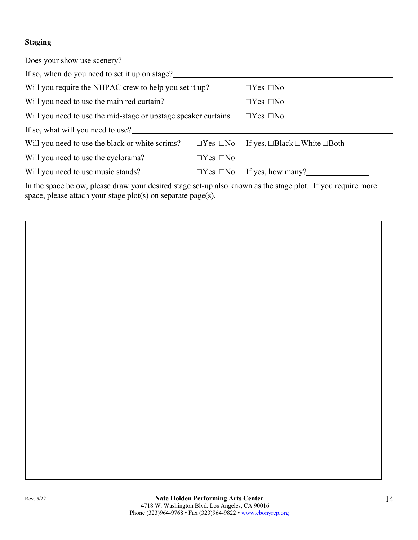## **Staging**

| Does your show use scenery?                                    |                      |                                               |  |  |
|----------------------------------------------------------------|----------------------|-----------------------------------------------|--|--|
| If so, when do you need to set it up on stage?                 |                      |                                               |  |  |
| Will you require the NHPAC crew to help you set it up?         |                      | $\Box$ Yes $\Box$ No                          |  |  |
| Will you need to use the main red curtain?                     |                      | $\Box$ Yes $\Box$ No                          |  |  |
| Will you need to use the mid-stage or upstage speaker curtains |                      | $\Box$ Yes $\Box$ No                          |  |  |
| If so, what will you need to use?                              |                      |                                               |  |  |
| Will you need to use the black or white scrims?                | $\Box$ Yes $\Box$ No | If yes, $\Box$ Black $\Box$ White $\Box$ Both |  |  |
| Will you need to use the cyclorama?                            | $\Box$ Yes $\Box$ No |                                               |  |  |
| Will you need to use music stands?                             | $\Box$ Yes $\Box$ No | If yes, how many?                             |  |  |
|                                                                |                      |                                               |  |  |

In the space below, please draw your desired stage set-up also known as the stage plot. If you require more space, please attach your stage plot(s) on separate page(s).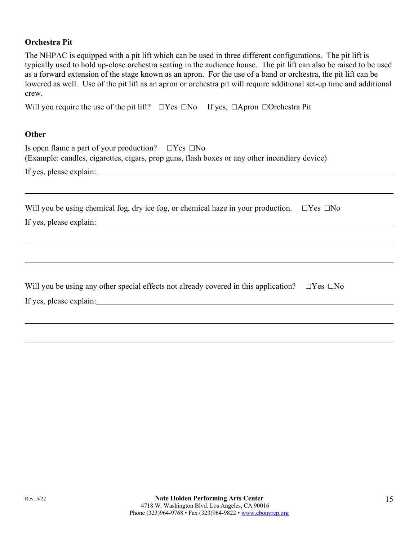#### **Orchestra Pit**

The NHPAC is equipped with a pit lift which can be used in three different configurations. The pit lift is typically used to hold up-close orchestra seating in the audience house. The pit lift can also be raised to be used as a forward extension of the stage known as an apron. For the use of a band or orchestra, the pit lift can be lowered as well. Use of the pit lift as an apron or orchestra pit will require additional set-up time and additional crew.

Will you require the use of the pit lift?  $\square$  Yes  $\square$ No If yes,  $\square$ Apron  $\square$ Orchestra Pit

#### **Other**

| Is open flame a part of your production? $\square$ Yes $\square$ No |                                                                                               |
|---------------------------------------------------------------------|-----------------------------------------------------------------------------------------------|
|                                                                     | (Example: candles, cigarettes, cigars, prop guns, flash boxes or any other incendiary device) |
| If yes, please explain:                                             |                                                                                               |
|                                                                     |                                                                                               |

Will you be using chemical fog, dry ice fog, or chemical haze in your production.  $\square$  Yes  $\square$  No

| If yes, please explain: |  |  |
|-------------------------|--|--|

| Will you be using any other special effects not already covered in this application? $\Box$ Yes $\Box$ No |  |
|-----------------------------------------------------------------------------------------------------------|--|
| If yes, please explain:                                                                                   |  |